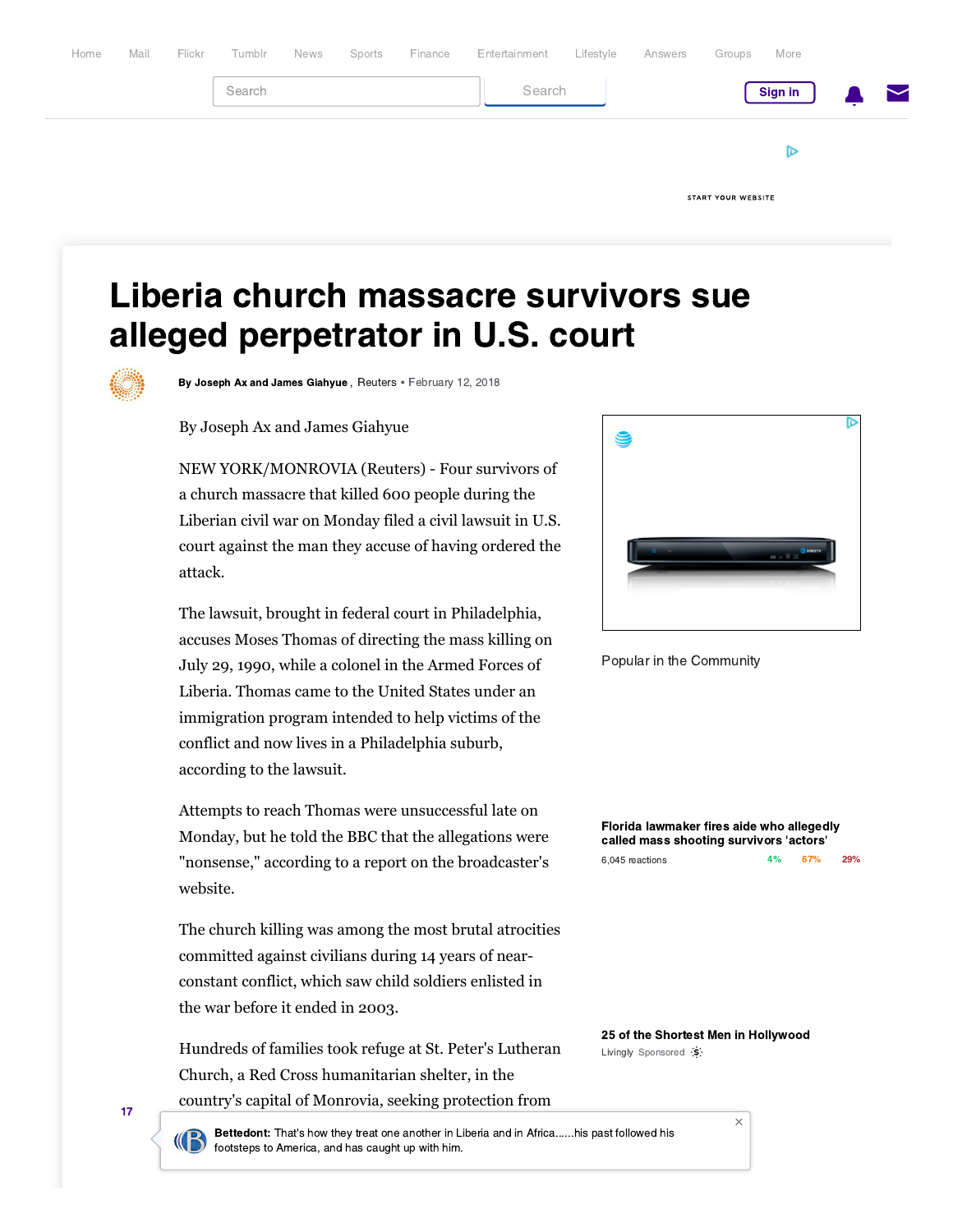

## [Liberia church massacre survivors sue](https://www.yahoo.com/) alleged perpetrator in U.S. court

By Joseph Ax and James Giahyue , [Reuters](http://www.reuters.com/) • February 12, 2018

By Joseph Ax and James Giahyue

NEW YORK/MONROVIA (Reuters) - Four survivors of a church massacre that killed 600 people during the Liberian civil war on Monday filed a civil lawsuit in U.S. court against the man they accuse of having ordered the attack.

The lawsuit, brought in federal court in Philadelphia, accuses Moses Thomas of directing the mass killing on July 29, 1990, while a colonel in the Armed Forces of Liberia. Thomas came to the United States under an immigration program intended to help victims of the conflict and now lives in a Philadelphia suburb, according to the lawsuit.

Attempts to reach Thomas were unsuccessful late on Monday, but he told the BBC that the allegations were "nonsense," according to a report on the broadcaster's website.

The church killing was among the most brutal atrocities committed against civilians during 14 years of nearconstant conflict, which saw child soldiers enlisted in the war before it ended in 2003.

Hundreds of families took refuge at St. Peter's Lutheran Church, a Red Cross humanitarian shelter, in the country's capital of Monrovia, seeking protection from



Popular in the Community

[Florida lawmaker fires aide who allegedly](https://www.yahoo.com/gma/florida-lawmaker-fires-aide-allegedly-called-mass-shooting-101803860--abc-news-topstories.html) called mass shooting survivors 'actors'

| 6,045 reactions | 67% | 29% |
|-----------------|-----|-----|
|                 |     |     |

[25 of the Shortest Men in Hollywood](https://beap.gemini.yahoo.com/mbclk?bv=1.0.0&es=5CQKoTUGIS9SfgIbT.4DXaEcO7Q63PmPkUx9J3eqL6jPrhfZt4Gyw8fGiiHNRFA1MECc49Fmk0w2YNHF.w1cgyB1qCbElPOEohaC8tbNhwYWfWrkFMLWLVGUDRsjG3iPSHUjmo7HEZuc2TjC.bCWKHv8sXlTtU7OhQ8dO2MePdszKp7BECVBCs0qiGnFcIRf35HUMAUDUlajWjMKiaf_w48YFHMDPHpImhgM9usb9WyvEAHZesBvFtF4Rzqra2i0a1IchA1pnBdhu5rrfDs31QRj95ggaczopt0x..Jo.EOpLpgg4XherppAJcVW5VKjob4LhtsyDLixmh98zeFYOqpTTLJE8Hr7ZzIgDTSP1UjmhlrCWXmPcwkYLEAx7OJqF9LaT7j1QDS19ApOeVliXbFLD1c3tSbvKuvSK5PDubFEE3KMhCckXVqj5Ei4J7drEtpmN7iAkLs4fH6c98zDi_97E.Fgj5iMK7erGWPtIJg6p6nf02VXQzjoBB_WpNwTRE5uzbSrTF02TjsQ9bgK6880idzmHnmS__AJ6v8OziW3.09IqW_ujvSO7IOOuYiRki_sL38Fq8D_y60.9ht2UHmp8OKSBND12x7oaPD2VC9fDIXY7sH1Bmu0ieyR5XU_svx9JwgfCIiOm67RW6gfSGLQqlLadSlPXjEHbp4ZZPOSEfOfEO7IYv3c1lGTqLLiAQArdA--%26lp=http%3A%2F%2Fwww.livingly.com%2FThese%2BAre%2BThe%2BShortest%2BMen%2BIn%2BHollywood%3Futm_source%3Dyaho%26utm_medium%3Dcpc%26utm_campaign%3DYaho-LV-Specials-US-Desktop-RT-RPS-Shortest-Men-Hollywood%26utm_content%3DNEWS_US) [Livingly](https://beap.gemini.yahoo.com/mbclk?bv=1.0.0&es=5CQKoTUGIS9SfgIbT.4DXaEcO7Q63PmPkUx9J3eqL6jPrhfZt4Gyw8fGiiHNRFA1MECc49Fmk0w2YNHF.w1cgyB1qCbElPOEohaC8tbNhwYWfWrkFMLWLVGUDRsjG3iPSHUjmo7HEZuc2TjC.bCWKHv8sXlTtU7OhQ8dO2MePdszKp7BECVBCs0qiGnFcIRf35HUMAUDUlajWjMKiaf_w48YFHMDPHpImhgM9usb9WyvEAHZesBvFtF4Rzqra2i0a1IchA1pnBdhu5rrfDs31QRj95ggaczopt0x..Jo.EOpLpgg4XherppAJcVW5VKjob4LhtsyDLixmh98zeFYOqpTTLJE8Hr7ZzIgDTSP1UjmhlrCWXmPcwkYLEAx7OJqF9LaT7j1QDS19ApOeVliXbFLD1c3tSbvKuvSK5PDubFEE3KMhCckXVqj5Ei4J7drEtpmN7iAkLs4fH6c98zDi_97E.Fgj5iMK7erGWPtIJg6p6nf02VXQzjoBB_WpNwTRE5uzbSrTF02TjsQ9bgK6880idzmHnmS__AJ6v8OziW3.09IqW_ujvSO7IOOuYiRki_sL38Fq8D_y60.9ht2UHmp8OKSBND12x7oaPD2VC9fDIXY7sH1Bmu0ieyR5XU_svx9JwgfCIiOm67RW6gfSGLQqlLadSlPXjEHbp4ZZPOSEfOfEO7IYv3c1lGTqLLiAQArdA--%26lp=http%3A%2F%2Fwww.livingly.com%2FThese%2BAre%2BThe%2BShortest%2BMen%2BIn%2BHollywood%3Futm_source%3Dyaho%26utm_medium%3Dcpc%26utm_campaign%3DYaho-LV-Specials-US-Desktop-RT-RPS-Shortest-Men-Hollywood%26utm_content%3DNEWS_US) [Sponsored](http://help.yahoo.com/kb/index?page=content&y=PROD_FRONT&locale=en_US&id=SLN14553) 'S'

 $\times$ 

17

**Ex Bettedont:** That's how they treat one another in Liberia and in Africa......his past followed his footsteps to America, and has caught up with him.